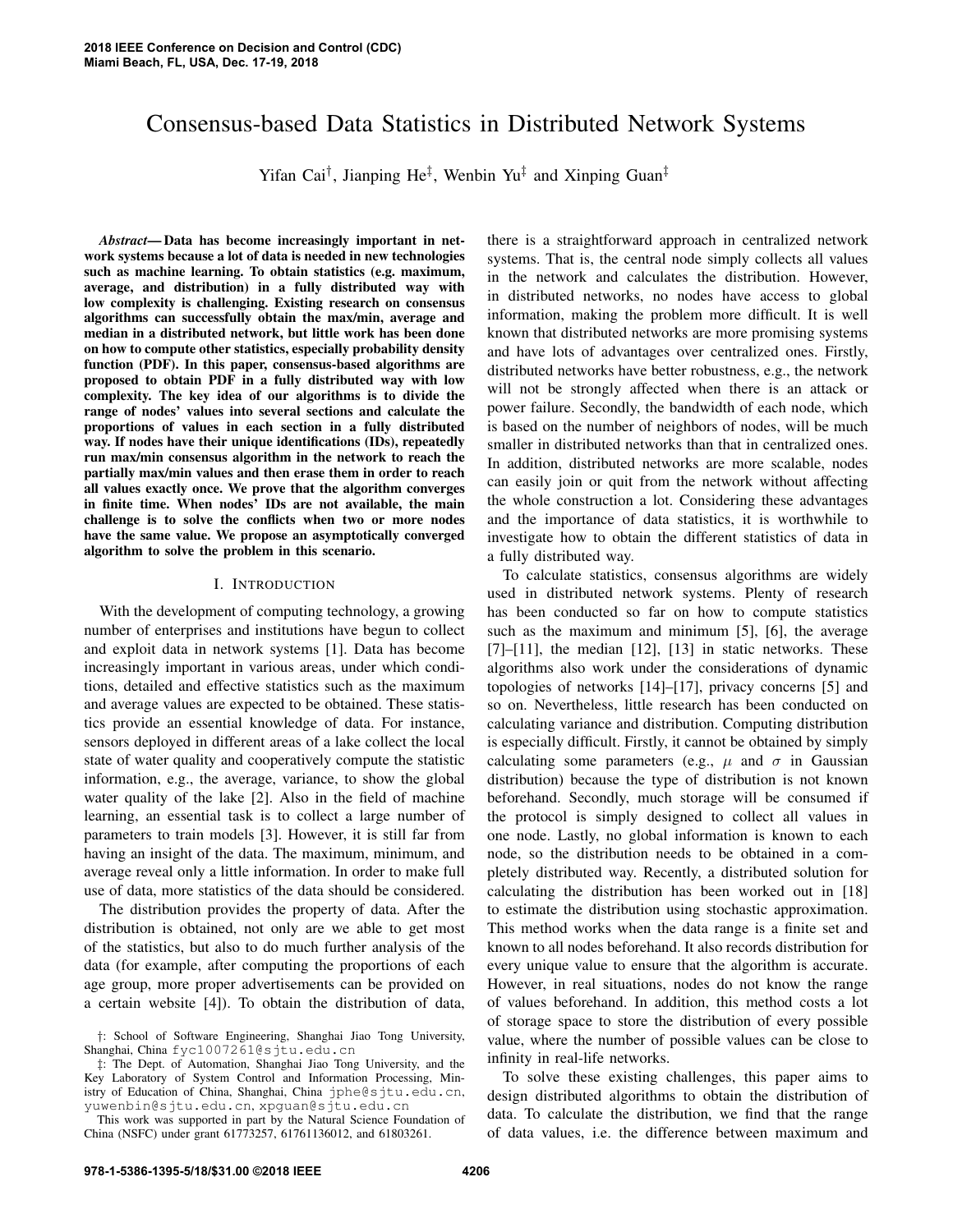# Consensus-based Data Statistics in Distributed Network Systems

Yifan Cai<sup>†</sup>, Jianping He<sup>‡</sup>, Wenbin Yu<sup>‡</sup> and Xinping Guan<sup>‡</sup>

*Abstract*— Data has become increasingly important in network systems because a lot of data is needed in new technologies such as machine learning. To obtain statistics (e.g. maximum, average, and distribution) in a fully distributed way with low complexity is challenging. Existing research on consensus algorithms can successfully obtain the max/min, average and median in a distributed network, but little work has been done on how to compute other statistics, especially probability density function (PDF). In this paper, consensus-based algorithms are proposed to obtain PDF in a fully distributed way with low complexity. The key idea of our algorithms is to divide the range of nodes' values into several sections and calculate the proportions of values in each section in a fully distributed way. If nodes have their unique identifications (IDs), repeatedly run max/min consensus algorithm in the network to reach the partially max/min values and then erase them in order to reach all values exactly once. We prove that the algorithm converges in finite time. When nodes' IDs are not available, the main challenge is to solve the conflicts when two or more nodes have the same value. We propose an asymptotically converged algorithm to solve the problem in this scenario.

# I. INTRODUCTION

With the development of computing technology, a growing number of enterprises and institutions have begun to collect and exploit data in network systems [1]. Data has become increasingly important in various areas, under which conditions, detailed and effective statistics such as the maximum and average values are expected to be obtained. These statistics provide an essential knowledge of data. For instance, sensors deployed in different areas of a lake collect the local state of water quality and cooperatively compute the statistic information, e.g., the average, variance, to show the global water quality of the lake [2]. Also in the field of machine learning, an essential task is to collect a large number of parameters to train models [3]. However, it is still far from having an insight of the data. The maximum, minimum, and average reveal only a little information. In order to make full use of data, more statistics of the data should be considered.

The distribution provides the property of data. After the distribution is obtained, not only are we able to get most of the statistics, but also to do much further analysis of the data (for example, after computing the proportions of each age group, more proper advertisements can be provided on a certain website [4]). To obtain the distribution of data,

‡: The Dept. of Automation, Shanghai Jiao Tong University, and the Key Laboratory of System Control and Information Processing, Ministry of Education of China, Shanghai, China jphe@sjtu.edu.cn, yuwenbin@sjtu.edu.cn, xpguan@sjtu.edu.cn

This work was supported in part by the Natural Science Foundation of China (NSFC) under grant 61773257, 61761136012, and 61803261.

there is a straightforward approach in centralized network systems. That is, the central node simply collects all values in the network and calculates the distribution. However, in distributed networks, no nodes have access to global information, making the problem more difficult. It is well known that distributed networks are more promising systems and have lots of advantages over centralized ones. Firstly, distributed networks have better robustness, e.g., the network will not be strongly affected when there is an attack or power failure. Secondly, the bandwidth of each node, which is based on the number of neighbors of nodes, will be much smaller in distributed networks than that in centralized ones. In addition, distributed networks are more scalable, nodes can easily join or quit from the network without affecting the whole construction a lot. Considering these advantages and the importance of data statistics, it is worthwhile to investigate how to obtain the different statistics of data in a fully distributed way.

To calculate statistics, consensus algorithms are widely used in distributed network systems. Plenty of research has been conducted so far on how to compute statistics such as the maximum and minimum [5], [6], the average  $[7]$ – $[11]$ , the median  $[12]$ ,  $[13]$  in static networks. These algorithms also work under the considerations of dynamic topologies of networks [14]–[17], privacy concerns [5] and so on. Nevertheless, little research has been conducted on calculating variance and distribution. Computing distribution is especially difficult. Firstly, it cannot be obtained by simply calculating some parameters (e.g.,  $\mu$  and  $\sigma$  in Gaussian distribution) because the type of distribution is not known beforehand. Secondly, much storage will be consumed if the protocol is simply designed to collect all values in one node. Lastly, no global information is known to each node, so the distribution needs to be obtained in a completely distributed way. Recently, a distributed solution for calculating the distribution has been worked out in [18] to estimate the distribution using stochastic approximation. This method works when the data range is a finite set and known to all nodes beforehand. It also records distribution for every unique value to ensure that the algorithm is accurate. However, in real situations, nodes do not know the range of values beforehand. In addition, this method costs a lot of storage space to store the distribution of every possible value, where the number of possible values can be close to infinity in real-life networks.

To solve these existing challenges, this paper aims to design distributed algorithms to obtain the distribution of data. To calculate the distribution, we find that the range of data values, i.e. the difference between maximum and

<sup>†</sup>: School of Software Engineering, Shanghai Jiao Tong University, Shanghai, China fyc1007261@sjtu.edu.cn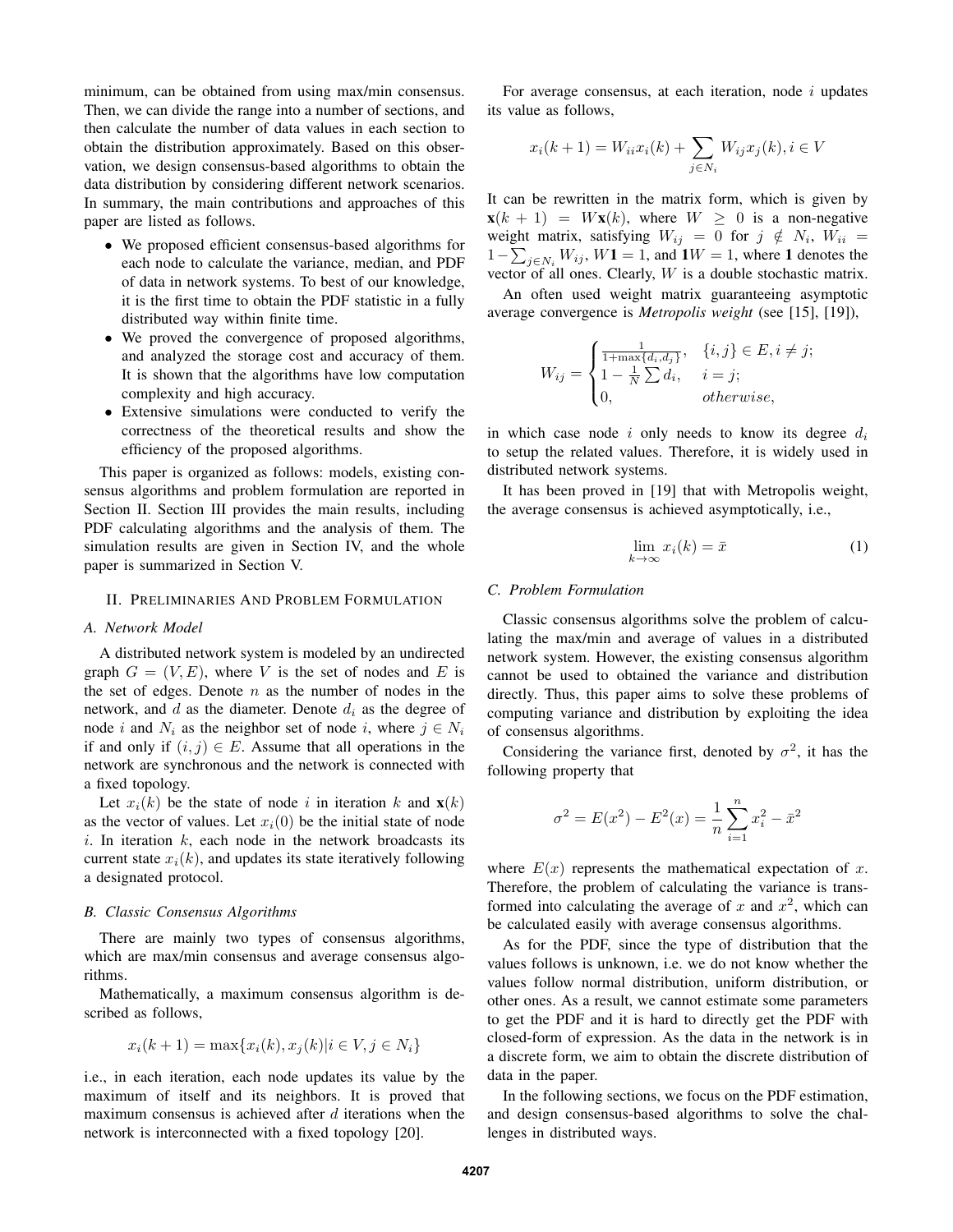minimum, can be obtained from using max/min consensus. Then, we can divide the range into a number of sections, and then calculate the number of data values in each section to obtain the distribution approximately. Based on this observation, we design consensus-based algorithms to obtain the data distribution by considering different network scenarios. In summary, the main contributions and approaches of this paper are listed as follows.

- We proposed efficient consensus-based algorithms for each node to calculate the variance, median, and PDF of data in network systems. To best of our knowledge, it is the first time to obtain the PDF statistic in a fully distributed way within finite time.
- We proved the convergence of proposed algorithms, and analyzed the storage cost and accuracy of them. It is shown that the algorithms have low computation complexity and high accuracy.
- Extensive simulations were conducted to verify the correctness of the theoretical results and show the efficiency of the proposed algorithms.

This paper is organized as follows: models, existing consensus algorithms and problem formulation are reported in Section II. Section III provides the main results, including PDF calculating algorithms and the analysis of them. The simulation results are given in Section IV, and the whole paper is summarized in Section V.

## II. PRELIMINARIES AND PROBLEM FORMULATION

#### *A. Network Model*

A distributed network system is modeled by an undirected graph  $G = (V, E)$ , where V is the set of nodes and E is the set of edges. Denote  $n$  as the number of nodes in the network, and  $d$  as the diameter. Denote  $d_i$  as the degree of node i and  $N_i$  as the neighbor set of node i, where  $j \in N_i$ if and only if  $(i, j) \in E$ . Assume that all operations in the network are synchronous and the network is connected with a fixed topology.

Let  $x_i(k)$  be the state of node i in iteration k and  $\mathbf{x}(k)$ as the vector of values. Let  $x_i(0)$  be the initial state of node  $i$ . In iteration  $k$ , each node in the network broadcasts its current state  $x_i(k)$ , and updates its state iteratively following a designated protocol.

#### *B. Classic Consensus Algorithms*

There are mainly two types of consensus algorithms, which are max/min consensus and average consensus algorithms.

Mathematically, a maximum consensus algorithm is described as follows,

$$
x_i(k+1) = \max\{x_i(k), x_j(k)|i \in V, j \in N_i\}
$$

i.e., in each iteration, each node updates its value by the maximum of itself and its neighbors. It is proved that maximum consensus is achieved after  $d$  iterations when the network is interconnected with a fixed topology [20].

For average consensus, at each iteration, node  $i$  updates its value as follows,

$$
x_i(k + 1) = W_{ii}x_i(k) + \sum_{j \in N_i} W_{ij}x_j(k), i \in V
$$

It can be rewritten in the matrix form, which is given by  $\mathbf{x}(k+1) = W\mathbf{x}(k)$ , where  $W \geq 0$  is a non-negative weight matrix, satisfying  $W_{ij} = 0$  for  $j \notin N_i$ ,  $W_{ii} =$  $1-\sum_{j\in N_i}W_{ij}$ ,  $W1=1$ , and  $1W=1$ , where 1 denotes the vector of all ones. Clearly,  $W$  is a double stochastic matrix.

An often used weight matrix guaranteeing asymptotic average convergence is *Metropolis weight* (see [15], [19]),

$$
W_{ij} = \begin{cases} \frac{1}{1 + \max\{d_i, d_j\}}, & \{i, j\} \in E, i \neq j; \\ 1 - \frac{1}{N} \sum d_i, & i = j; \\ 0, & otherwise, \end{cases}
$$

in which case node i only needs to know its degree  $d_i$ to setup the related values. Therefore, it is widely used in distributed network systems.

It has been proved in [19] that with Metropolis weight, the average consensus is achieved asymptotically, i.e.,

$$
\lim_{k \to \infty} x_i(k) = \bar{x} \tag{1}
$$

## *C. Problem Formulation*

Classic consensus algorithms solve the problem of calculating the max/min and average of values in a distributed network system. However, the existing consensus algorithm cannot be used to obtained the variance and distribution directly. Thus, this paper aims to solve these problems of computing variance and distribution by exploiting the idea of consensus algorithms.

Considering the variance first, denoted by  $\sigma^2$ , it has the following property that

$$
\sigma^{2} = E(x^{2}) - E^{2}(x) = \frac{1}{n} \sum_{i=1}^{n} x_{i}^{2} - \bar{x}^{2}
$$

where  $E(x)$  represents the mathematical expectation of x. Therefore, the problem of calculating the variance is transformed into calculating the average of x and  $x^2$ , which can be calculated easily with average consensus algorithms.

As for the PDF, since the type of distribution that the values follows is unknown, i.e. we do not know whether the values follow normal distribution, uniform distribution, or other ones. As a result, we cannot estimate some parameters to get the PDF and it is hard to directly get the PDF with closed-form of expression. As the data in the network is in a discrete form, we aim to obtain the discrete distribution of data in the paper.

In the following sections, we focus on the PDF estimation, and design consensus-based algorithms to solve the challenges in distributed ways.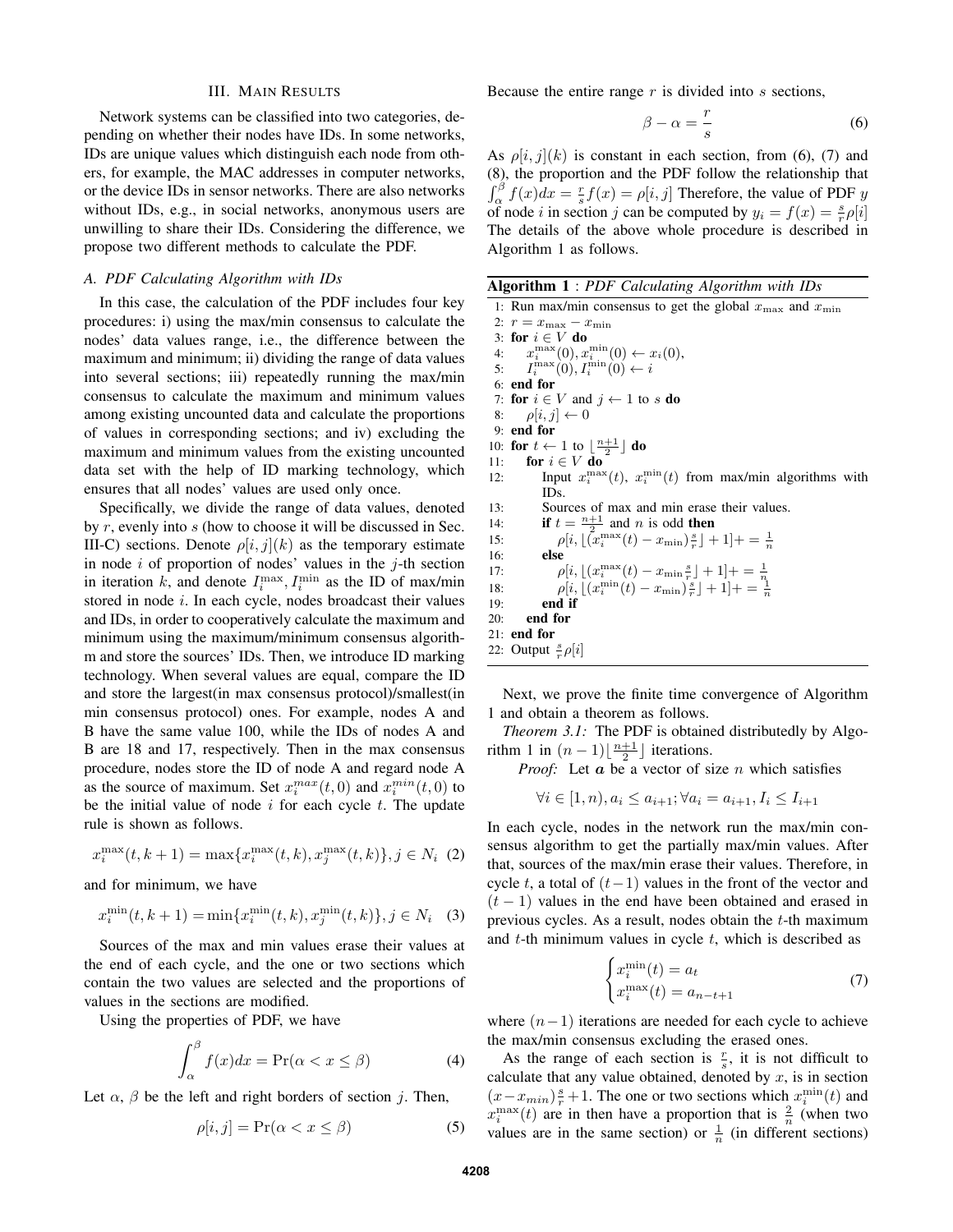#### III. MAIN RESULTS

Network systems can be classified into two categories, depending on whether their nodes have IDs. In some networks, IDs are unique values which distinguish each node from others, for example, the MAC addresses in computer networks, or the device IDs in sensor networks. There are also networks without IDs, e.g., in social networks, anonymous users are unwilling to share their IDs. Considering the difference, we propose two different methods to calculate the PDF.

## *A. PDF Calculating Algorithm with IDs*

In this case, the calculation of the PDF includes four key procedures: i) using the max/min consensus to calculate the nodes' data values range, i.e., the difference between the maximum and minimum; ii) dividing the range of data values into several sections; iii) repeatedly running the max/min consensus to calculate the maximum and minimum values among existing uncounted data and calculate the proportions of values in corresponding sections; and iv) excluding the maximum and minimum values from the existing uncounted data set with the help of ID marking technology, which ensures that all nodes' values are used only once.

Specifically, we divide the range of data values, denoted by r, evenly into s (how to choose it will be discussed in Sec. III-C) sections. Denote  $\rho[i, j](k)$  as the temporary estimate in node  $i$  of proportion of nodes' values in the  $j$ -th section in iteration k, and denote  $I_i^{\max}, I_i^{\min}$  as the ID of max/min stored in node i. In each cycle, nodes broadcast their values and IDs, in order to cooperatively calculate the maximum and minimum using the maximum/minimum consensus algorithm and store the sources' IDs. Then, we introduce ID marking technology. When several values are equal, compare the ID and store the largest(in max consensus protocol)/smallest(in min consensus protocol) ones. For example, nodes A and B have the same value 100, while the IDs of nodes A and B are 18 and 17, respectively. Then in the max consensus procedure, nodes store the ID of node A and regard node A as the source of maximum. Set  $x_i^{max}(t,0)$  and  $x_i^{min}(t,0)$  to be the initial value of node  $i$  for each cycle  $t$ . The update rule is shown as follows.

$$
x_i^{\max}(t, k+1) = \max\{x_i^{\max}(t, k), x_j^{\max}(t, k)\}, j \in N_i \tag{2}
$$

and for minimum, we have

$$
x_i^{\min}(t, k+1) = \min\{x_i^{\min}(t, k), x_j^{\min}(t, k)\}, j \in N_i \quad (3)
$$

Sources of the max and min values erase their values at the end of each cycle, and the one or two sections which contain the two values are selected and the proportions of values in the sections are modified.

Using the properties of PDF, we have

$$
\int_{\alpha}^{\beta} f(x)dx = \Pr(\alpha < x \le \beta) \tag{4}
$$

Let  $\alpha$ ,  $\beta$  be the left and right borders of section j. Then,

$$
\rho[i,j] = \Pr(\alpha < x \leq \beta) \tag{5}
$$

Because the entire range  $r$  is divided into  $s$  sections,

$$
\beta - \alpha = \frac{r}{s} \tag{6}
$$

As  $\rho[i, j](k)$  is constant in each section, from (6), (7) and (8), the proportion and the PDF follow the relationship that  $\int_{\alpha}^{\beta} f(x)dx = \frac{r}{s}f(x) = \rho[i, j]$  Therefore, the value of PDF y of node *i* in section *j* can be computed by  $y_i = f(x) = \frac{s}{r} \rho[i]$ The details of the above whole procedure is described in Algorithm 1 as follows.

| <b>Algorithm 1</b> : PDF Calculating Algorithm with IDs |  |  |  |
|---------------------------------------------------------|--|--|--|
|---------------------------------------------------------|--|--|--|

1: Run max/min consensus to get the global  $x_{\text{max}}$  and  $x_{\text{min}}$ 2:  $r = x_{\text{max}} - x_{\text{min}}$ 3: for  $i \in V$  do 4:  $x_i^{\max}(0), x_i^{\min}(0) \leftarrow x_i(0),$ 5:  $I_i^{\max}(0), I_i^{\min}(0) \leftarrow i$ 6: end for 7: for  $i \in V$  and  $j \leftarrow 1$  to s do 8:  $\rho[i, j] \leftarrow 0$ 9: end for 10: for  $t \leftarrow 1$  to  $\lfloor \frac{n+1}{2} \rfloor$  do 11: for  $i \in V$  do 12: Input  $x_i^{\max}(t)$ ,  $x_i^{\min}(t)$  from max/min algorithms with IDs. 13: Sources of max and min erase their values. 14: **if**  $t = \frac{n+1}{2}$  and *n* is odd then 15:  $p[i, \lfloor (x_i^{\max}(t) - x_{\min}) \rfloor + 1] + \frac{1}{n}]$ 16: else 17:  $\rho[i, \lfloor (x_i^{\max}(t) - x_{\min} \frac{s}{r} \rfloor + 1] + \frac{1}{r} = \frac{1}{n}$ <br>
18:  $\rho[i, \lfloor (x_i^{\min}(t) - x_{\min}) \frac{s}{r} \rfloor + 1] + \frac{1}{n}$  $19:$  end if 20: end for 21: end for 22: Output  $\frac{s}{r}\rho[i]$ 

Next, we prove the finite time convergence of Algorithm 1 and obtain a theorem as follows.

*Theorem 3.1:* The PDF is obtained distributedly by Algorithm 1 in  $(n-1)\lfloor \frac{n+1}{2} \rfloor$  iterations.

*Proof:* Let  $a$  be a vector of size  $n$  which satisfies

$$
\forall i \in [1, n), a_i \le a_{i+1}; \forall a_i = a_{i+1}, I_i \le I_{i+1}
$$

In each cycle, nodes in the network run the max/min consensus algorithm to get the partially max/min values. After that, sources of the max/min erase their values. Therefore, in cycle t, a total of  $(t-1)$  values in the front of the vector and  $(t - 1)$  values in the end have been obtained and erased in previous cycles. As a result, nodes obtain the t-th maximum and  $t$ -th minimum values in cycle  $t$ , which is described as

$$
\begin{cases} x_i^{\min}(t) = a_t \\ x_i^{\max}(t) = a_{n-t+1} \end{cases}
$$
 (7)

where  $(n-1)$  iterations are needed for each cycle to achieve the max/min consensus excluding the erased ones.

As the range of each section is  $\frac{r}{s}$ , it is not difficult to calculate that any value obtained, denoted by  $x$ , is in section  $(x-x_{min})\frac{s}{r}+1$ . The one or two sections which  $x_i^{\min}(t)$  and  $x_i^{\max}(t)$  are in then have a proportion that is  $\frac{2}{n}$  (when two values are in the same section) or  $\frac{1}{n}$  (in different sections)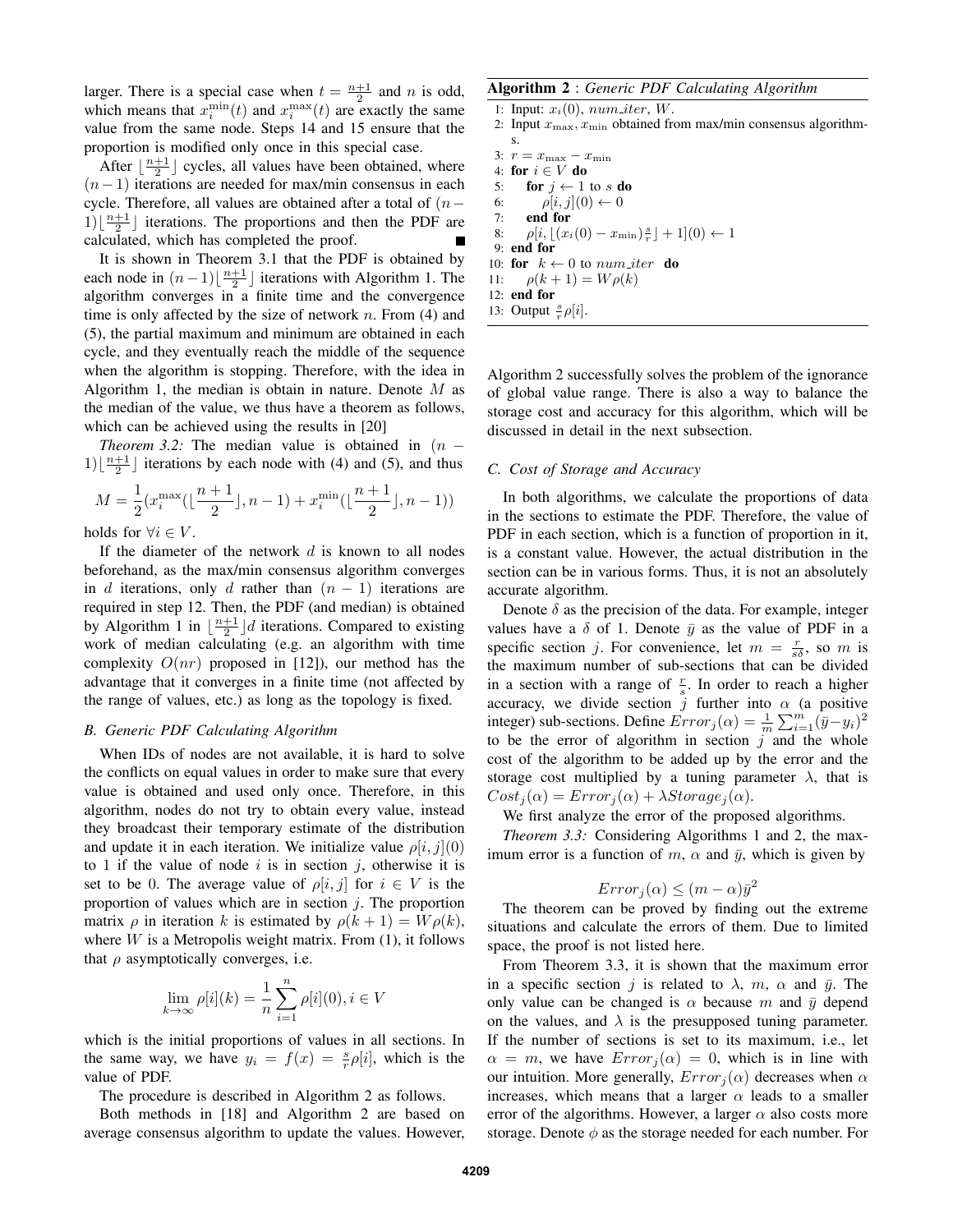larger. There is a special case when  $t = \frac{n+1}{2}$  and n is odd, which means that  $x_i^{\min}(t)$  and  $x_i^{\max}(t)$  are exactly the same value from the same node. Steps 14 and 15 ensure that the proportion is modified only once in this special case.

After  $\lfloor \frac{n+1}{2} \rfloor$  cycles, all values have been obtained, where  $(n-1)$  iterations are needed for max/min consensus in each cycle. Therefore, all values are obtained after a total of  $(n 1\left(\frac{n+1}{2}\right)$  iterations. The proportions and then the PDF are calculated, which has completed the proof.

It is shown in Theorem 3.1 that the PDF is obtained by each node in  $(n-1)\left\lfloor \frac{n+1}{2} \right\rfloor$  iterations with Algorithm 1. The algorithm converges in a finite time and the convergence time is only affected by the size of network  $n$ . From (4) and (5), the partial maximum and minimum are obtained in each cycle, and they eventually reach the middle of the sequence when the algorithm is stopping. Therefore, with the idea in Algorithm 1, the median is obtain in nature. Denote  $M$  as the median of the value, we thus have a theorem as follows, which can be achieved using the results in [20]

*Theorem 3.2:* The median value is obtained in  $(n 1\left(\frac{n+1}{2}\right)$  iterations by each node with (4) and (5), and thus

$$
M=\frac{1}{2}(x_i^{\max}(\lfloor{\frac{n+1}{2}}\rfloor,n-1)+x_i^{\min}(\lfloor{\frac{n+1}{2}}\rfloor,n-1))
$$

holds for  $\forall i \in V$ .

If the diameter of the network  $d$  is known to all nodes beforehand, as the max/min consensus algorithm converges in d iterations, only d rather than  $(n - 1)$  iterations are required in step 12. Then, the PDF (and median) is obtained by Algorithm 1 in  $\lfloor \frac{n+1}{2} \rfloor d$  iterations. Compared to existing work of median calculating (e.g. an algorithm with time complexity  $O(nr)$  proposed in [12]), our method has the advantage that it converges in a finite time (not affected by the range of values, etc.) as long as the topology is fixed.

### *B. Generic PDF Calculating Algorithm*

When IDs of nodes are not available, it is hard to solve the conflicts on equal values in order to make sure that every value is obtained and used only once. Therefore, in this algorithm, nodes do not try to obtain every value, instead they broadcast their temporary estimate of the distribution and update it in each iteration. We initialize value  $\rho[i, j](0)$ to 1 if the value of node  $i$  is in section  $j$ , otherwise it is set to be 0. The average value of  $\rho[i, j]$  for  $i \in V$  is the proportion of values which are in section  $i$ . The proportion matrix  $\rho$  in iteration k is estimated by  $\rho(k+1) = W \rho(k)$ , where  $W$  is a Metropolis weight matrix. From (1), it follows that  $\rho$  asymptotically converges, i.e.

$$
\lim_{k \to \infty} \rho[i](k) = \frac{1}{n} \sum_{i=1}^{n} \rho[i](0), i \in V
$$

which is the initial proportions of values in all sections. In the same way, we have  $y_i = f(x) = \frac{s}{r} \rho[i]$ , which is the value of PDF.

The procedure is described in Algorithm 2 as follows.

Both methods in [18] and Algorithm 2 are based on average consensus algorithm to update the values. However,

# Algorithm 2 : *Generic PDF Calculating Algorithm*

1: Input:  $x_i(0)$ ,  $num\_iter$ , W. 2: Input  $x_{\text{max}}, x_{\text{min}}$  obtained from max/min consensus algorithms. 3:  $r = x_{\text{max}} - x_{\text{min}}$ 4: for  $i \in V$  do 5: for  $j \leftarrow 1$  to s do 6:  $\rho[i, j](0) \leftarrow 0$ 7: end for 8:  $\rho[i, \lfloor (x_i(0) - x_{\min}) \frac{s}{r} \rfloor + 1](0) \leftarrow 1$ 9: end for 10: for  $k \leftarrow 0$  to num\_iter do 11:  $\rho(k+1) = W \rho(k)$ 12: end for 13: Output  $\frac{s}{r}\rho[i]$ .

Algorithm 2 successfully solves the problem of the ignorance of global value range. There is also a way to balance the storage cost and accuracy for this algorithm, which will be discussed in detail in the next subsection.

# *C. Cost of Storage and Accuracy*

In both algorithms, we calculate the proportions of data in the sections to estimate the PDF. Therefore, the value of PDF in each section, which is a function of proportion in it, is a constant value. However, the actual distribution in the section can be in various forms. Thus, it is not an absolutely accurate algorithm.

Denote  $\delta$  as the precision of the data. For example, integer values have a  $\delta$  of 1. Denote  $\bar{y}$  as the value of PDF in a specific section j. For convenience, let  $m = \frac{r}{s\delta}$ , so m is the maximum number of sub-sections that can be divided in a section with a range of  $\frac{r}{s}$ . In order to reach a higher accuracy, we divide section  $j$  further into  $\alpha$  (a positive integer) sub-sections. Define  $Error_j(\alpha) = \frac{1}{m} \sum_{i=1}^{m} (\bar{y} - y_i)^2$ to be the error of algorithm in section  $j$  and the whole cost of the algorithm to be added up by the error and the storage cost multiplied by a tuning parameter  $\lambda$ , that is  $Cost<sub>i</sub>(\alpha) = Error<sub>i</sub>(\alpha) + \lambda Storage<sub>i</sub>(\alpha).$ 

We first analyze the error of the proposed algorithms.

*Theorem 3.3:* Considering Algorithms 1 and 2, the maximum error is a function of m,  $\alpha$  and  $\bar{y}$ , which is given by

$$
Error_j(\alpha) \le (m - \alpha)\bar{y}^2
$$

The theorem can be proved by finding out the extreme situations and calculate the errors of them. Due to limited space, the proof is not listed here.

From Theorem 3.3, it is shown that the maximum error in a specific section j is related to  $\lambda$ ,  $m$ ,  $\alpha$  and  $\bar{y}$ . The only value can be changed is  $\alpha$  because m and  $\bar{y}$  depend on the values, and  $\lambda$  is the presupposed tuning parameter. If the number of sections is set to its maximum, i.e., let  $\alpha = m$ , we have  $Error_i(\alpha) = 0$ , which is in line with our intuition. More generally,  $Error<sub>i</sub>(\alpha)$  decreases when  $\alpha$ increases, which means that a larger  $\alpha$  leads to a smaller error of the algorithms. However, a larger  $\alpha$  also costs more storage. Denote  $\phi$  as the storage needed for each number. For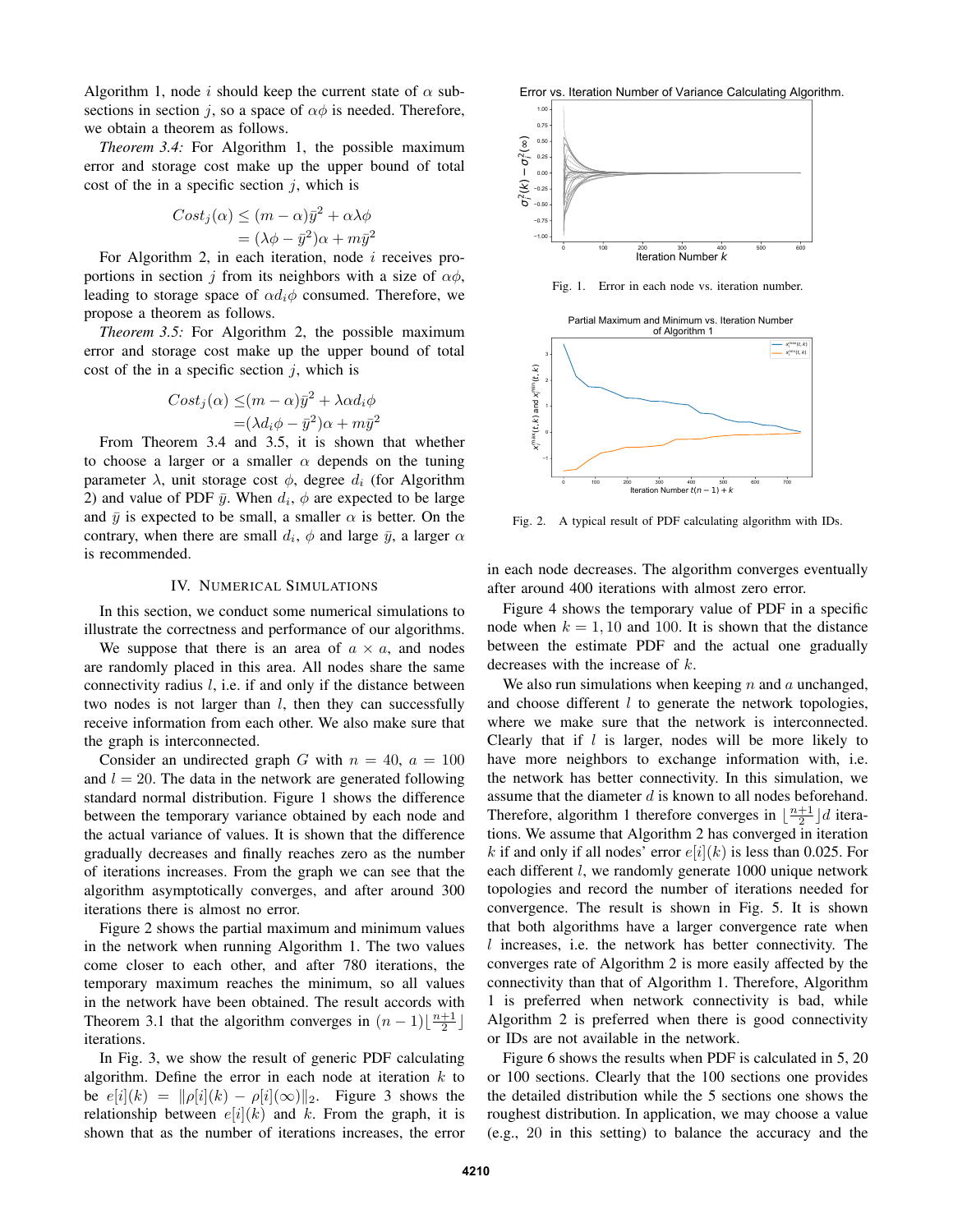Algorithm 1, node i should keep the current state of  $\alpha$  subsections in section j, so a space of  $\alpha\phi$  is needed. Therefore, we obtain a theorem as follows.

*Theorem 3.4:* For Algorithm 1, the possible maximum error and storage cost make up the upper bound of total cost of the in a specific section  $j$ , which is

$$
Cost_j(\alpha) \le (m - \alpha)\bar{y}^2 + \alpha\lambda\phi
$$
  
=  $(\lambda\phi - \bar{y}^2)\alpha + m\bar{y}^2$ 

For Algorithm 2, in each iteration, node  $i$  receives proportions in section j from its neighbors with a size of  $\alpha\phi$ , leading to storage space of  $\alpha d_i \phi$  consumed. Therefore, we propose a theorem as follows.

*Theorem 3.5:* For Algorithm 2, the possible maximum error and storage cost make up the upper bound of total cost of the in a specific section  $i$ , which is

$$
Cost_j(\alpha) \leq (m - \alpha)\bar{y}^2 + \lambda \alpha d_i \phi
$$
  
=  $(\lambda d_i \phi - \bar{y}^2)\alpha + m\bar{y}^2$ 

From Theorem 3.4 and 3.5, it is shown that whether to choose a larger or a smaller  $\alpha$  depends on the tuning parameter  $\lambda$ , unit storage cost  $\phi$ , degree  $d_i$  (for Algorithm 2) and value of PDF  $\bar{y}$ . When  $d_i$ ,  $\phi$  are expected to be large and  $\bar{y}$  is expected to be small, a smaller  $\alpha$  is better. On the contrary, when there are small  $d_i$ ,  $\phi$  and large  $\bar{y}$ , a larger  $\alpha$ is recommended.

## IV. NUMERICAL SIMULATIONS

In this section, we conduct some numerical simulations to illustrate the correctness and performance of our algorithms.

We suppose that there is an area of  $a \times a$ , and nodes are randomly placed in this area. All nodes share the same connectivity radius  $l$ , i.e. if and only if the distance between two nodes is not larger than  $l$ , then they can successfully receive information from each other. We also make sure that the graph is interconnected.

Consider an undirected graph G with  $n = 40$ ,  $a = 100$ and  $l = 20$ . The data in the network are generated following standard normal distribution. Figure 1 shows the difference between the temporary variance obtained by each node and the actual variance of values. It is shown that the difference gradually decreases and finally reaches zero as the number of iterations increases. From the graph we can see that the algorithm asymptotically converges, and after around 300 iterations there is almost no error.

Figure 2 shows the partial maximum and minimum values in the network when running Algorithm 1. The two values come closer to each other, and after 780 iterations, the temporary maximum reaches the minimum, so all values in the network have been obtained. The result accords with Theorem 3.1 that the algorithm converges in  $(n-1)\left\lfloor\frac{n+1}{2}\right\rfloor$ iterations.

In Fig. 3, we show the result of generic PDF calculating algorithm. Define the error in each node at iteration  $k$  to be  $e[i](k) = ||\rho[i](k) - \rho[i](\infty)||_2$ . Figure 3 shows the relationship between  $e[i](k)$  and k. From the graph, it is shown that as the number of iterations increases, the error Error vs. Iteration Number of Variance Calculating Algorithm.



Fig. 1. Error in each node vs. iteration number.

Partial Maximum and Minimum vs. Iteration Number



Fig. 2. A typical result of PDF calculating algorithm with IDs.

in each node decreases. The algorithm converges eventually after around 400 iterations with almost zero error.

Figure 4 shows the temporary value of PDF in a specific node when  $k = 1, 10$  and 100. It is shown that the distance between the estimate PDF and the actual one gradually decreases with the increase of k.

We also run simulations when keeping  $n$  and  $a$  unchanged, and choose different  $l$  to generate the network topologies, where we make sure that the network is interconnected. Clearly that if  $l$  is larger, nodes will be more likely to have more neighbors to exchange information with, i.e. the network has better connectivity. In this simulation, we assume that the diameter d is known to all nodes beforehand. Therefore, algorithm 1 therefore converges in  $\lfloor \frac{n+1}{2} \rfloor d$  iterations. We assume that Algorithm 2 has converged in iteration k if and only if all nodes' error  $e[i](k)$  is less than 0.025. For each different *l*, we randomly generate 1000 unique network topologies and record the number of iterations needed for convergence. The result is shown in Fig. 5. It is shown that both algorithms have a larger convergence rate when l increases, i.e. the network has better connectivity. The converges rate of Algorithm 2 is more easily affected by the connectivity than that of Algorithm 1. Therefore, Algorithm 1 is preferred when network connectivity is bad, while Algorithm 2 is preferred when there is good connectivity or IDs are not available in the network.

Figure 6 shows the results when PDF is calculated in 5, 20 or 100 sections. Clearly that the 100 sections one provides the detailed distribution while the 5 sections one shows the roughest distribution. In application, we may choose a value (e.g., 20 in this setting) to balance the accuracy and the